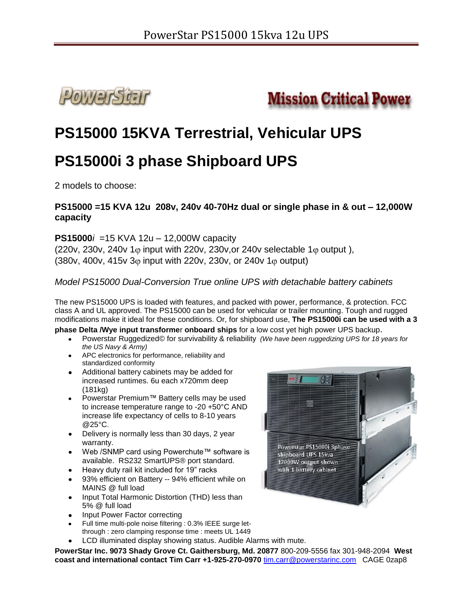



# **PS15000 15KVA Terrestrial, Vehicular UPS**

# **PS15000i 3 phase Shipboard UPS**

2 models to choose:

### **PS15000 =15 KVA 12u 208v, 240v 40-70Hz dual or single phase in & out – 12,000W capacity**

**PS15000***i*=15 KVA 12u – 12,000W capacity (220v, 230v, 240v 1 $\varphi$  input with 220v, 230v, or 240v selectable 1 $\varphi$  output), (380v, 400v, 415v 3 $\varphi$  input with 220v, 230v, or 240v 1 $\varphi$  output)

### *Model PS15000 Dual-Conversion True online UPS with detachable battery cabinets*

The new PS15000 UPS is loaded with features, and packed with power, performance, & protection. FCC class A and UL approved. The PS15000 can be used for vehicular or trailer mounting. Tough and rugged modifications make it ideal for these conditions. Or, for shipboard use, **The PS15000i can be used with a 3** 

**phase Delta /Wye input transforme**r **onboard ships** for a low cost yet high power UPS backup.

- Powerstar Ruggedized© for survivability & reliability *(We have been ruggedizing UPS for 18 years for the US Navy & Army)*
- APC electronics for performance, reliability and standardized conformity
- Additional battery cabinets may be added for increased runtimes. 6u each x720mm deep (181kg)
- Powerstar Premium™ Battery cells may be used to increase temperature range to -20 +50°C AND increase life expectancy of cells to 8-10 years @25°C.
- Delivery is normally less than 30 days, 2 year warranty.
- Web /SNMP card using Powerchute™ software is available. RS232 SmartUPS® port standard.
- Heavy duty rail kit included for 19" racks
- 93% efficient on Battery -- 94% efficient while on MAINS @ full load
- Input Total Harmonic Distortion (THD) less than 5% @ full load
- Input Power Factor correcting
- Full time multi-pole noise filtering : 0.3% IEEE surge letthrough : zero clamping response time : meets UL 1449
- LCD illuminated display showing status. Audible Alarms with mute.

**PowerStar Inc. 9073 Shady Grove Ct. Gaithersburg, Md. 20877** 800-209-5556 fax 301-948-2094 **West coast and international contact Tim Carr +1-925-270-0970** tim.carr@powerstarinc.com CAGE 0zap8

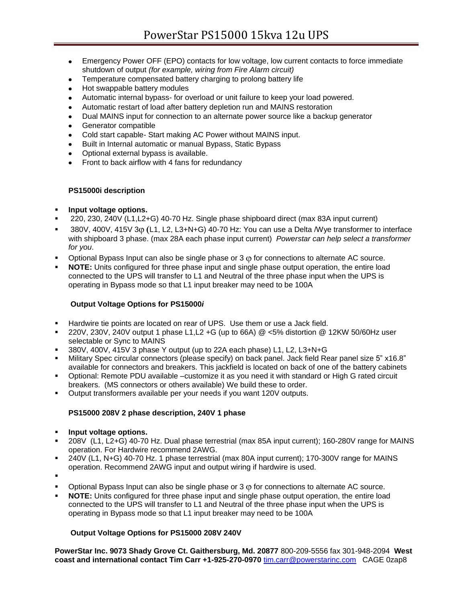- Emergency Power OFF (EPO) contacts for low voltage, low current contacts to force immediate  $\bullet$ shutdown of output *(for example, wiring from Fire Alarm circuit)*
- Temperature compensated battery charging to prolong battery life  $\bullet$
- Hot swappable battery modules
- Automatic internal bypass- for overload or unit failure to keep your load powered.  $\bullet$
- Automatic restart of load after battery depletion run and MAINS restoration  $\bullet$
- Dual MAINS input for connection to an alternate power source like a backup generator  $\bullet$
- Generator compatible  $\bullet$
- Cold start capable- Start making AC Power without MAINS input.  $\bullet$
- Built in Internal automatic or manual Bypass, Static Bypass  $\bullet$
- Optional external bypass is available.  $\bullet$
- Front to back airflow with 4 fans for redundancy

#### **PS15000i description**

- **Input voltage options.**
- 220, 230, 240V (L1,L2+G) 40-70 Hz. Single phase shipboard direct (max 83A input current)
- 380V, 400V, 415V 3 $\omega$  (L1, L2, L3+N+G) 40-70 Hz: You can use a Delta /Wye transformer to interface with shipboard 3 phase. (max 28A each phase input current) *Powerstar can help select a transformer for you*.
- Optional Bypass Input can also be single phase or  $3 \varphi$  for connections to alternate AC source.
- **NOTE:** Units configured for three phase input and single phase output operation, the entire load connected to the UPS will transfer to L1 and Neutral of the three phase input when the UPS is operating in Bypass mode so that L1 input breaker may need to be 100A

#### **Output Voltage Options for PS15000***i*

- Hardwire tie points are located on rear of UPS. Use them or use a Jack field.
- 220V, 230V, 240V output 1 phase L1,L2 +G (up to 66A) @ <5% distortion @ 12KW 50/60Hz user selectable or Sync to MAINS
- 380V, 400V, 415V 3 phase Y output (up to 22A each phase) L1, L2, L3+N+G
- Military Spec circular connectors (please specify) on back panel. Jack field Rear panel size 5" x16.8" available for connectors and breakers. This jackfield is located on back of one of the battery cabinets
- Optional: Remote PDU available –customize it as you need it with standard or High G rated circuit breakers. (MS connectors or others available) We build these to order.
- Output transformers available per your needs if you want 120V outputs.

#### **PS15000 208V 2 phase description, 240V 1 phase**

- **Fig. 1.1.** Input voltage options.
- 208V (L1, L2+G) 40-70 Hz. Dual phase terrestrial (max 85A input current); 160-280V range for MAINS operation. For Hardwire recommend 2AWG.
- 240V (L1, N+G) 40-70 Hz. 1 phase terrestrial (max 80A input current); 170-300V range for MAINS operation. Recommend 2AWG input and output wiring if hardwire is used.
- .
- $\blacksquare$  Optional Bypass Input can also be single phase or 3  $\phi$  for connections to alternate AC source.
- **NOTE:** Units configured for three phase input and single phase output operation, the entire load connected to the UPS will transfer to L1 and Neutral of the three phase input when the UPS is operating in Bypass mode so that L1 input breaker may need to be 100A

#### **Output Voltage Options for PS15000 208V 240V**

**PowerStar Inc. 9073 Shady Grove Ct. Gaithersburg, Md. 20877** 800-209-5556 fax 301-948-2094 **West coast and international contact Tim Carr +1-925-270-0970** tim.carr@powerstarinc.com CAGE 0zap8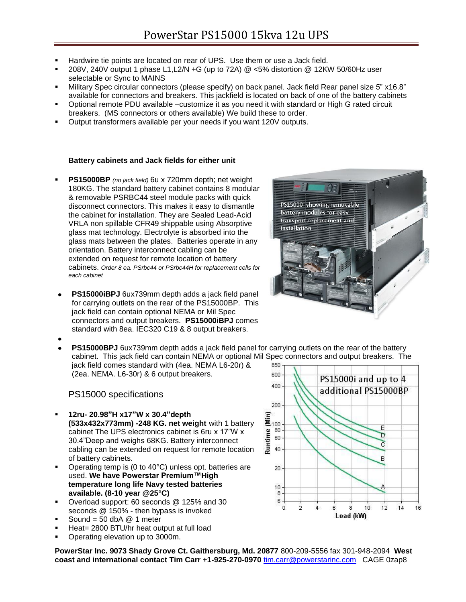- Hardwire tie points are located on rear of UPS. Use them or use a Jack field.
- 208V, 240V output 1 phase L1,L2/N +G (up to 72A) @ <5% distortion @ 12KW 50/60Hz user selectable or Sync to MAINS
- Military Spec circular connectors (please specify) on back panel. Jack field Rear panel size 5" x16.8" available for connectors and breakers. This jackfield is located on back of one of the battery cabinets
- Optional remote PDU available –customize it as you need it with standard or High G rated circuit breakers. (MS connectors or others available) We build these to order.
- Output transformers available per your needs if you want 120V outputs.

#### **Battery cabinets and Jack fields for either unit**

- **PS15000BP** *(no jack field)* 6u x 720mm depth; net weight 180KG. The standard battery cabinet contains 8 modular & removable PSRBC44 steel module packs with quick disconnect connectors. This makes it easy to dismantle the cabinet for installation. They are Sealed Lead-Acid VRLA non spillable CFR49 shippable using Absorptive glass mat technology. Electrolyte is absorbed into the glass mats between the plates. Batteries operate in any orientation. Battery interconnect cabling can be extended on request for remote location of battery cabinets. *Order 8 ea. PSrbc44 or PSrbc44H for replacement cells for each cabinet*
- **PS15000iBPJ** 6ux739mm depth adds a jack field panel  $\bullet$ for carrying outlets on the rear of the PS15000BP. This jack field can contain optional NEMA or Mil Spec connectors and output breakers. **PS15000iBPJ** comes standard with 8ea. IEC320 C19 & 8 output breakers.



**PS15000BPJ** 6ux739mm depth adds a jack field panel for carrying outlets on the rear of the battery cabinet. This jack field can contain NEMA or optional Mil Spec connectors and output breakers. The iack field comes standard with (4ea. NEMA L6-20r) &

(2ea. NEMA. L6-30r) & 6 output breakers.

#### PS15000 specifications

- **12ru- 20.98"H x17"W x 30.4"depth (533x432x773mm) -248 KG. net weight** with 1 battery cabinet The UPS electronics cabinet is 6ru x 17"W x 30.4"Deep and weighs 68KG. Battery interconnect cabling can be extended on request for remote location of battery cabinets.
- Operating temp is (0 to 40°C) unless opt. batteries are used. **We have Powerstar Premium™High temperature long life Navy tested batteries available. (8-10 year @25°C)**
- Overload support: 60 seconds @ 125% and 30 seconds @ 150% - then bypass is invoked
- Sound =  $50$  dbA  $@$  1 meter
- Heat= 2800 BTU/hr heat output at full load
- Operating elevation up to 3000m.

**PowerStar Inc. 9073 Shady Grove Ct. Gaithersburg, Md. 20877** 800-209-5556 fax 301-948-2094 **West coast and international contact Tim Carr +1-925-270-0970** tim.carr@powerstarinc.com CAGE 0zap8